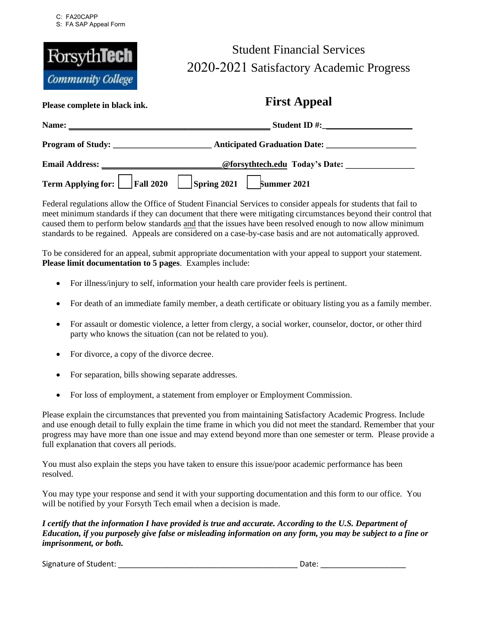

## Student Financial Services 2020-2021 Satisfactory Academic Progress

**First Appeal** 

| Please complete in black ink.                                             | THE TIPPCAL                                                                                                                                                                                                                        |  |
|---------------------------------------------------------------------------|------------------------------------------------------------------------------------------------------------------------------------------------------------------------------------------------------------------------------------|--|
|                                                                           |                                                                                                                                                                                                                                    |  |
| Program of Study:                                                         |                                                                                                                                                                                                                                    |  |
|                                                                           | Email Address: <u>Email Address:</u> Charles Construction Construction Constanting Constanting Constanting Constanting Constanting Constanting Constanting Constanting Constanting Constanting Constanting Constanting Constanting |  |
| Term Applying for: $\Box$ Fall 2020 $\Box$ Spring 2021 $\Box$ Summer 2021 |                                                                                                                                                                                                                                    |  |

Federal regulations allow the Office of Student Financial Services to consider appeals for students that fail to meet minimum standards if they can document that there were mitigating circumstances beyond their control that caused them to perform below standards and that the issues have been resolved enough to now allow minimum standards to be regained. Appeals are considered on a case-by-case basis and are not automatically approved.

To be considered for an appeal, submit appropriate documentation with your appeal to support your statement. **Please limit documentation to 5 pages**. Examples include:

- For illness/injury to self, information your health care provider feels is pertinent.
- For death of an immediate family member, a death certificate or obituary listing you as a family member.
- For assault or domestic violence, a letter from clergy, a social worker, counselor, doctor, or other third party who knows the situation (can not be related to you).
- For divorce, a copy of the divorce decree.
- For separation, bills showing separate addresses.
- For loss of employment, a statement from employer or Employment Commission.

Please explain the circumstances that prevented you from maintaining Satisfactory Academic Progress. Include and use enough detail to fully explain the time frame in which you did not meet the standard. Remember that your progress may have more than one issue and may extend beyond more than one semester or term. Please provide a full explanation that covers all periods.

You must also explain the steps you have taken to ensure this issue/poor academic performance has been resolved.

You may type your response and send it with your supporting documentation and this form to our office. You will be notified by your Forsyth Tech email when a decision is made.

*I certify that the information I have provided is true and accurate. According to the U.S. Department of Education, if you purposely give false or misleading information on any form, you may be subject to a fine or imprisonment, or both.* 

Signature of Student: \_\_\_\_\_\_\_\_\_\_\_\_\_\_\_\_\_\_\_\_\_\_\_\_\_\_\_\_\_\_\_\_\_\_\_\_\_\_\_\_\_\_ Date: \_\_\_\_\_\_\_\_\_\_\_\_\_\_\_\_\_\_\_\_